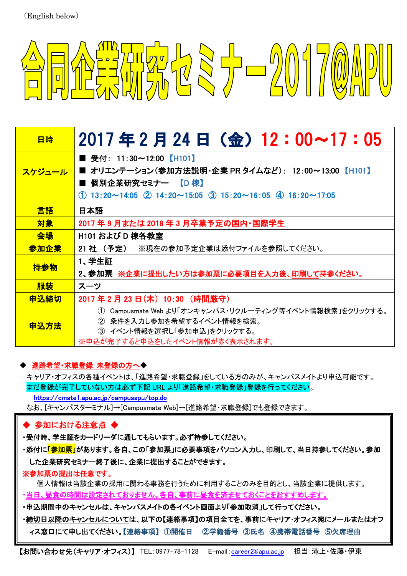

| 日時     | 2017年2月24日(金)12:00~17:05                                                |
|--------|-------------------------------------------------------------------------|
|        | ■ 受付:11:30~12:00【H101】                                                  |
| スケジュール | ■ オリエンテーション(参加方法説明・企業 PR タイムなど): 12:00~13:00 【H101】                     |
|        | ■ 個別企業研究セミナー 【D 棟】                                                      |
|        | $(1)$ 13:20~14:05 $(2)$ 14:20~15:05 $(3)$ 15:20~16:05 $(4)$ 16:20~17:05 |
| 言語     | 日本語                                                                     |
| 対象     | 2017 年 9 月または 2018 年 3 月卒業予定の国内・国際学生                                    |
| 会場     | H101 および D 棟各教室                                                         |
| 参加企業   | 21 社 (予定)<br>※現在の参加予定企業は添付ファイルを参照してください。                                |
| 持参物    | 1、学生証                                                                   |
|        | 2、参加票 ※企業に提出したい方は参加票に必要項目を入力後、 <u>印刷して</u> 持参ください。                      |
| 服装     | スーツ                                                                     |
| 申込締切   | 2017年2月23日(木) 10:30 (時間厳守)                                              |
|        | Campusmate Web より「オンキャンパス・リクルーティング等イベント情報検索」をクリックする。<br>(1)             |
| 申込方法   | ② 条件を入力し参加を希望するイベント情報を検索。                                               |
|        | ③ イベント情報を選択し「参加申込」をクリックする。                                              |
|        | ※申込が完了すると申込をしたイベント情報が赤く表示されます。                                          |

## ・ 進路希望・求職登録 未登録の方へ◆

キャリア・オフィスの各種イベントは、「進路希望・求職登録」をしている方のみが、キャンパスメイトより申込可能です。 まだ登録が完了していない方は必ず下記 URL より「進路希望・求職登録」登録を行ってください。 https://cmate1.apu.ac.jp/campusapu/top.do

なお、[キャンパスターミナル]→[Campusmate Web]→[進路希望・求職登録]でも登録できます。

# ◆ 参加における注意点 ◆

・受付時、学生証をカードリーダに通してもらいます。必ず持参してください。

・添付に<mark>「参加票」</mark>があります。各自、この「参加票」に必要事項をパソコン入力し、印刷して、当日持参してください。参加 した企業研究セミナー終了後に、企業に提出することができます。

### ※参加票の提出は任意です。

個人情報は当該企業の採用に関わる事務を行うために利用することのみを目的とし、当該企業に提供します。

<u>・当日、昼食の時間は設定されておりません。各自、事前に昼食を済ませておくことをおすすめします。</u>

- ・申込期間中のキャンセルは、キャンパスメイトの各イベント画面より「参加取消」して行ってください。
- ・締切日以降のキャンセルについては、以下の【連絡事項】の項目全てを、事前にキャリア・オフィス宛にメールまたはオフ ィス窓口にて申し出てください。【連絡事項】 ①開催日 ②学籍番号 ③氏名 ④携帯電話番号 ⑤欠席理由